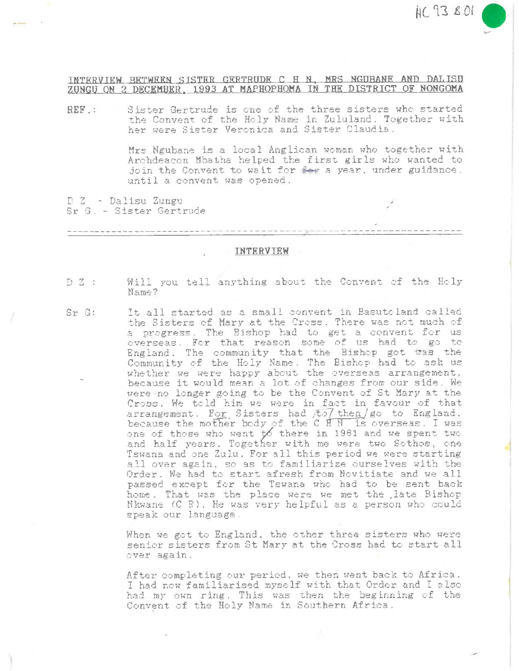## INTERVIEW BETWEEN SISTER GERTRUDE C H N. MRS NGUBANE AND DALISU ZUNGU ON 2 DECEMBER, 1993 AT MAPHOPHOMA IN THE DISTRICT OF NONGOMA

Sister Gertrude is one of the three sisters who started REF : the Convent of the Holy Name in Zululand. Together with her were Sister Veronica and Sister Claudia.

> Mrs Ngubane is a local Anglican woman who together with Archdeacon Mbatha helped the first girls who wanted to join the Convent to wait for fee a year, under guidance. until a convent was opened.

D Z - Dalisu Zungu Sr G. - Sister Gertrude

INTERVIEW

- Will you tell anything about the Convent of the Holy  $DZ$ : Name?
- It all started as a small convent in Basutoland called  $Sr$   $G$ : the Sisters of Mary at the Cross. There was not much of a progress. The Bishop had to get a convent for us overseas. For that reason some of us had to go to England. The community that the Bishop got was the Community of the Holy Name. The Bishop had to ask us whether we were happy about the overseas arrangement, because it would mean a lot of changes from our side. We were no longer going to be the Convent of St Mary at the Cross. We told him we were in fact in favour of that arrangement. For Sisters had /to/ then / go to England. because the mother body of the C H N is overseas. I was<br>one of those who went to there in 1961 and we spent two<br>and half years. Together with me were two Sothos, one Tswana and one Zulu. For all this period we were starting all over again, so as to familiarize ourselves with the Order. We had to start afresh from Novitiate and we all passed except for the Tswana who had to be sent back home. That was the place were we met the late Bishop Nkwane (C R). He was very helpful as a person who could speak our language.

When we got to England, the other three sisters who were senior sisters from St Mary at the Cross had to start all over again.

After completing our period, we then went back to Africa. I had now familiarised myself with that Order and I also had my own ring. This was then the beginning of the Convent of the Holy Name in Southern Africa.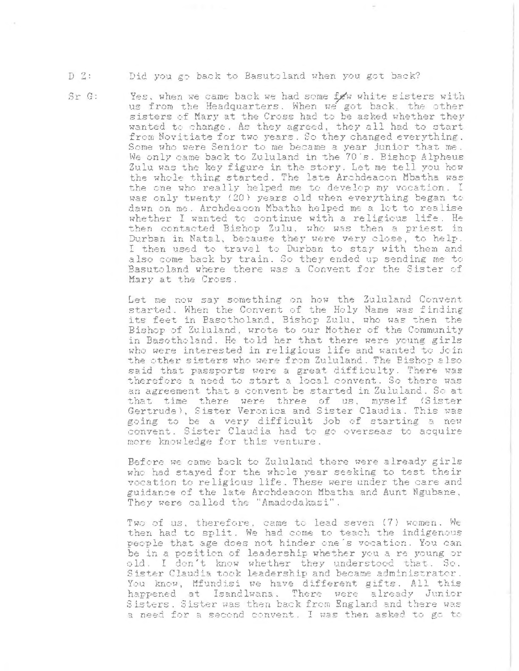## $D 2:$ Did you go back to Basutoland when you got back?

 $Sr$   $G:$ 

Yes, when we came back we had some fow white sisters with us from the Headquarters. When we got back, the other sisters of Mary at the Cross had to be asked whether they wanted to change. As they agreed, they all had to start from Novitiate for two years. So they changed everything. Some who were Senior to me became a year junior that me. We only came back to Zululand in the 70's. Bishop Alpheus Zulu was the key figure in the story. Let me tell you how the whole thing started. The late Archdeacon Mbatha was the one who really helped me to develop my vocation. I was only twenty (20) years old when everything began to dawn on me. Archdeacon Mbatha helped me a lot to realise whether I wanted to continue with a religious life. He then contacted Bishop Zulu, who was then a priest in Durban in Natal, because they were very close, to help. I then used to travel to Durban to stay with them and also come back by train. So they ended up sending me to Basutoland where there was a Convent for the Sister of Mary at the Cross.

Let me now say something on how the Zululand Convent started. When the Convent of the Holy Name was finding its feet in Basotholand, Bishop Zulu, who was then the Bishop of Zululand, wrote to our Mother of the Community in Basotholand. He told her that there were young girls who were interested in religious life and wanted to join the other sisters who were from Zululand. The Bishop also said that passports were a great difficulty. There was therefore a need to start a local convent. So there was an agreement that a convent be started in Zululand. So at that time there were three of us, myself (Sister Gertrude), Sister Veronica and Sister Claudia. This was going to be a very difficult job of starting a new convent. Sister Claudia had to go overseas to acquire more knowledge for this venture.

Before we came back to Zululand there were already girls who had stayed for the whole year seeking to test their vocation to religious life. These were under the care and guidance of the late Archdeacon Mbatha and Aunt Ngubane, They were called the "Amadodakazi".

Two of us, therefore, came to lead seven (7) women. We then had to split. We had come to teach the indigenous people that age does not hinder one's vocation. You can be in a position of leadership whether you a re young or old. I don't know whether they understood that. So. Sister Claudia took leadership and became administrator. You know, Mfundisi we have different gifts. All this happened at Isandlwana. There were already Junior Sisters. Sister was then back from England and there was a need for a second convent. I was then asked to go to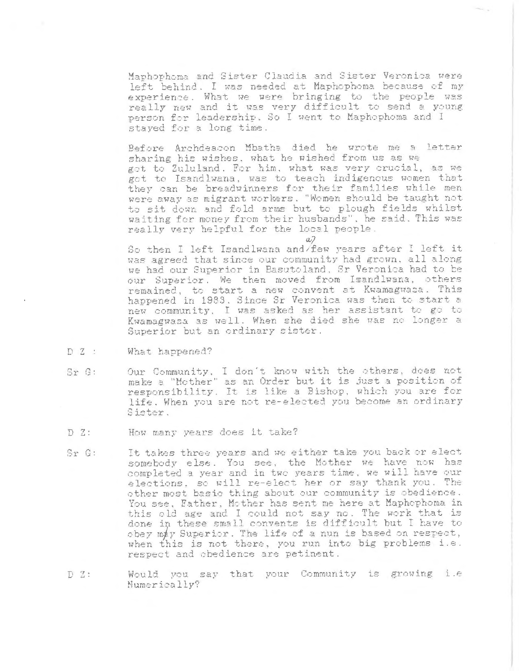Maphophoma and Sister Claudia and Sister Veronica were left behind. I was needed at Maphophoma because of my experience. What we were bringing to the people was really new and it was very difficult to send a young person for leadership. So I went to Maphophoma and I staved for a long time.

Before Archdeacon Mbatha died he wrote me a letter sharing his wishes, what he wished from us as we got to Zululand. For him, what was very crucial, as we got to Isandlwana, was to teach indigenous women that they can be breadwinners for their families while men were away as migrant workers. "Women should be taught not to sit down and fold arms but to plough fields whilst waiting for money from their husbands", he said. This was really very helpful for the local people.

 $a<sub>2</sub>$ 

So then I left Isandlwana and/few years after I left it was agreed that since our community had grown, all along we had our Superior in Basutoland, Sr Veronica had to be our Superior. We then moved from Isandlwana, others remained, to start a new convent at Kwamagwaza. This happened in 1983. Since Sr Veronica was then to start a new community. I was asked as her assistant to go to Kwamagwasa as well. When she died she was no longer a Superior but an ordinary sister.

- $DZ$ : What happened?
- Our Community, I don't know with the others, does not  $Sx$   $G$ : make a "Mother" as an Order but it is just a position of responsibility. It is like a Bishop, which you are for life. When you are not re-elected you become an ordinary Sister.
- $DZ$ : How many years does it take?
- It takes three years and we either take you back or elect  $Sr$   $G$ : somebody else. You see, the Mother we have now has completed a year and in two years time, we will have our elections, so will re-elect her or say thank you. The other most basic thing about our community is obedience. You see, Father, Mother has sent me here at Maphophoma in this old age and I could not say no. The work that is done in these small convents is difficult but I have to obey may Superior. The life of a nun is based on respect, when this is not there, you run into big problems i.e. respect and obedience are petinent.
- Would you say that your Community is growing i.e  $DZ$ : Numerically?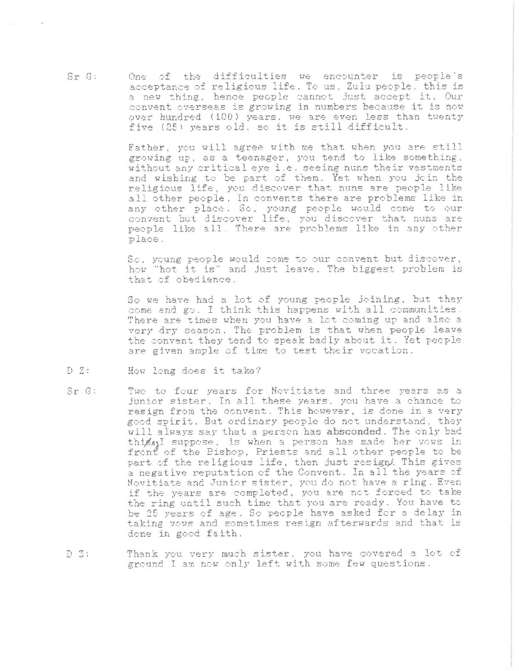One of the difficulties we encounter is people's acceptance of religious life. To us, Zulu people, this is a new thing, hence people cannot just accept it. Our convent overseas is growing in numbers because it is now over hundred (100) years, we are even less than twenty five (25) years old, so it is still difficult.

> Father, you will agree with me that when you are still growing up, as a teenager, you tend to like something. without any critical eye i.e. seeing nuns their vestments and wishing to be part of them. Yet when you join the religious life, you discover that nuns are people like all other people. In convents there are problems like in any other place. So, young people would come to our convent but discover life, you discover that nuns are people like all. There are problems like in any other place.

> So, young people would come to our convent but discover, how "hot it is" and just leave. The biggest problem is that of obedience.

> So we have had a lot of young people joining, but they come and go. I think this happens with all communities. There are times when you have a lot coming up and also a very dry season. The problem is that when people leave the convent they tend to speak badly about it. Yet people are given ample of time to test their vocation.

- $DZ:$ How long does it take?
- Sr G: Two to four years for Novitiate and three years as a junior sister. In all these years, you have a chance to resign from the convent. This however, is done in a very good spirit. But ordinary people do not understand, they will always say that a person has absconded. The only bad thipsn' suppose, is when a person has made her vows in front of the Bishop, Priests and all other people to be part of the religious life, then just resign. This gives a negative reputation of the Convent. In all the years of Novitiate and Junior sister, you do not have a ring. Even if the years are completed, you are not forced to take the ring until such time that you are ready. You have to be 25 years of age. So people have asked for a delay in taking vows and sometimes resign afterwards and that is done in good faith.
- Thank you very much sister, you have covered a lot of  $D_3$ : ground I am now only left with some few questions.

 $S \cap G$ :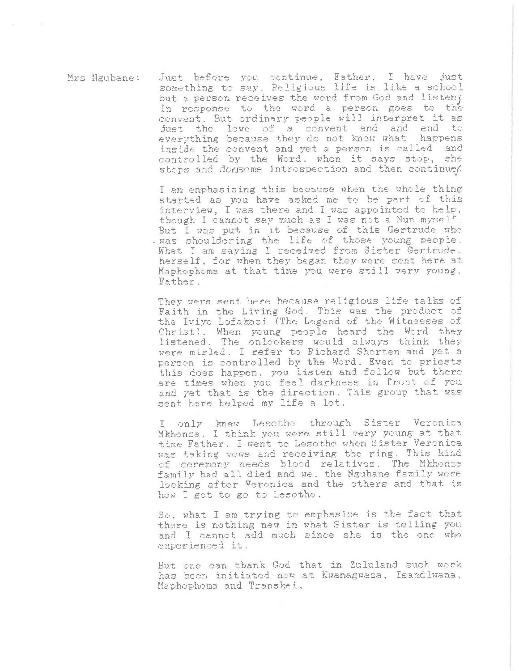Just before you continue. Father, I have just Mrs Ngubane: something to say. Religious life is like a school but a person receives the word from God and listen; In response to the word a person goes to the convent. But ordinary people will interpret it as just the love of a convent and and end to everything because they do not know what happens inside the convent and yet a person is called and controlled by the Word. when it says stop, she stops and dogsome introspection and then continues.

> I am emphasizing this because when the whole thing started as you have asked me to be part of this interview. I was there and I was appointed to help. though I cannot say much as I was not a Nun myself. But I was put in it because of this Gertrude who . was shouldering the life of those young people. What I am saying I received from Sister Gertrude. herself, for when they began they were sent here at Maphophoma at that time you were still very young, Father.

They were sent here because religious life talks of Faith in the Living God. This was the product of the Iviyo Lofakazi (The Legend of the Witnesses of Christ). When young people heard the Word they listened. The onlookers would always think they were misled. I refer to Richard Shorten and yet a person is controlled by the Word. Even to priests this does happen, you listen and follow but there are times when you feel darkness in front of you and yet that is the direction. This group that was sent here helped my life a lot.

I only knew Lesotho through Sister Veronica Mkhonza. I think you were still very young at that time Father. I went to Lesotho when Sister Veronica was taking vows and receiving the ring. This kind of ceremony needs blood relatives. The Mkhonsa family had all died and we, the Ngubane family were looking after Veronica and the others and that is how I got to go to Lesotho.

So, what I am trying to emphasize is the fact that there is nothing new in what Sister is telling you and I cannot add much since she is the one who experienced it.

But one can thank God that in Zululand such work has been initiated now at Kwamagwaza, Isandlwana, Maphophoma and Transkei.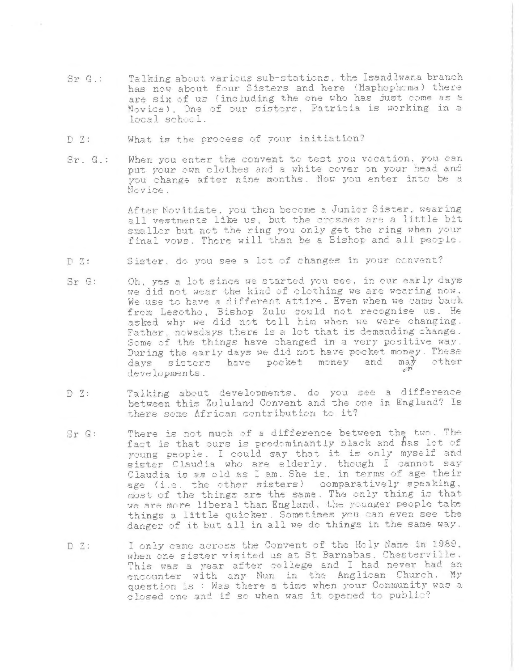- Talking about various sub-stations, the Isandlwana branch  $Sr$   $G$ .: has now about four Sisters and here (Maphophoma) there are six of us (including the one who has just come as a Novice). One of our sisters, Patricia is working in a local school.
- $DZ$ : What is the process of your initiation?
- When you enter the convent to test you vocation, you can  $Sr. G.$ : put your own clothes and a white cover on your head and you change after nine months. Now you enter into be a Nevice.

After Novitiate, you then become a Junior Sister, wearing all vestments like us, but the crosses are a little bit smaller but not the ring you only get the ring when your final vows. There will than be a Bishop and all people.

- $DZ:$ Sister, do you see a lot of changes in your convent?
- Oh, yes a lot since we started you see, in our early days  $Sr$   $G$ : we did not wear the kind of clothing we are wearing now. We use to have a different attire. Even when we came back from Lesotho, Bishop Zulu could not recognise us. He asked why we did not tell him when we were changing.<br>Father, nowadays there is a lot that is demanding change. Some of the things have changed in a very positive way. During the early days we did not have pocket money. These days sisters have pocket money and may other developments.
- Talking about developments, do you see a difference  $DZ$ : between this Zululand Convent and the one in England? Is there some African contribution to it?
- There is not much of a difference between the two. The  $Sr$   $G:$ fact is that ours is predominantly black and has lot of young people. I could say that it is only myself and sister Claudia who are elderly. though I cannot say Claudia is as old as I am. She is, in terms of age their age (i.e. the other sisters) comparatively speaking, most of the things are the same. The only thing is that we are more liberal than England, the younger people take things a little quicker. Sometimes you can even see the danger of it but all in all we do things in the same way.
- I only came across the Convent of the Holy Name in 1989.  $DZ$ : when one sister visited us at St Barnabas. Chesterville. This was a year after college and I had never had an encounter with any Nun in the Anglican Church. My question is : Was there a time when your Community was a closed one and if so when was it opened to public?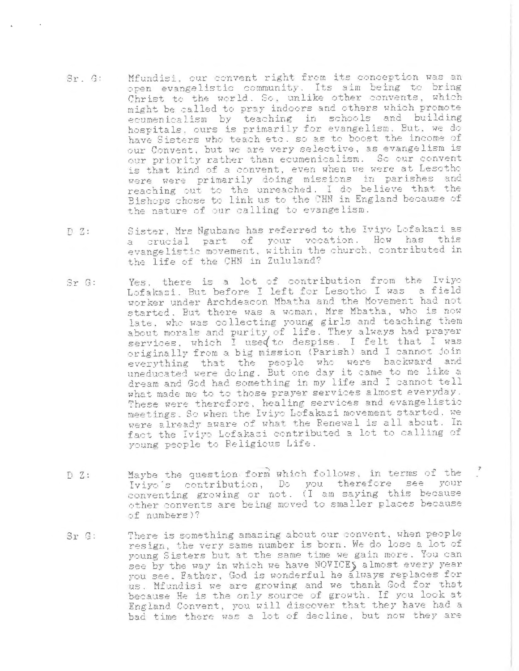- Mfundisi, our convent right from its conception was an  $Sr. G:$ open evangelistic community. Its aim being to bring Christ to the world. So, unlike other convents, which might be called to pray indoors and others which promote ecumenicalism by teaching in schools and building hospitals, ours is primarily for evangelism. But, we do have Sisters who teach etc. so as to boost the income of our Convent, but we are very selective, as evangelism is our priority rather than ecumenicalism. So our convent is that kind of a convent, even when we were at Lesotho were were primarily doing missions in parishes and<br>reaching out to the unreached. I do believe that the Bishops chose to link us to the CHN in England because of the nature of our calling to evangelism.
- Sister, Mrs Ngubane has referred to the Iviyo Lofakazi as  $DZ$ : a crucial part of your vocation. How has this evangelistic movement, within the church, contributed in the life of the CHN in Zululand?
- Yes, there is a lot of contribution from the Iviyo  $Sr$   $G$ : Lofakazi. But before I left for Lesotho I was a field worker under Archdeacon Mbatha and the Movement had not started. But there was a woman, Mrs Mbatha, who is now late. who was collecting young girls and teaching them about morals and purity of life. They always had prayer services, which I used to despise. I felt that I was originally from a big mission (Parish) and I cannot join everything that the people who were backward and uneducated were doing. But one day it came to me like a dream and God had something in my life and I cannot tell what made me to to those prayer services almost everyday. These were therefore, healing services and evangelistic meetings. So when the Iviyo Lofakazi movement started, we were already aware of what the Renewal is all about. In fact the Iviyo Lofakasi contributed a lot to calling of young people to Religious Life.
- Maybe the question form which follows, in terms of the  $DZ:$ Iviyo's contribution, Do you therefore see your conventing growing or not. (I am saying this because other convents are being moved to smaller places because of numbers)?
- There is something amazing about our convent, when people  $S_F$   $G$ : resign, the very same number is born. We do lose a lot of young Sisters but at the same time we gain more. You can see by the way in which we have NOVICES almost every year you see. Father, God is wonderful he always replaces for us. Mfundisi we are growing and we thank God for that because He is the only source of growth. If you look at England Convent, you will discover that they have had a bad time there was a lot of decline, but now they are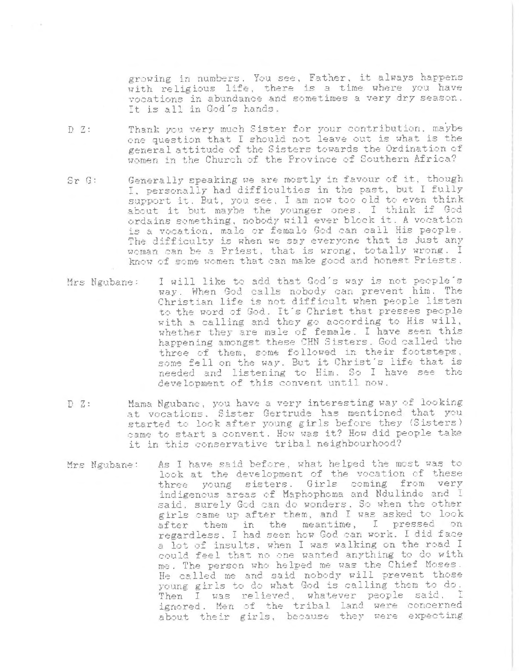growing in numbers. You see, Father, it always happens with religious life, there is a time where you have vocations in abundance and sometimes a very dry season. It is all in God's hands.

- Thank you very much Sister for your contribution, maybe  $DZ:$ one question that I should not leave out is what is the general attitude of the Sisters towards the Ordination of women in the Church of the Province of Southern Africa?
- Generally speaking we are mostly in favour of it, though  $Sr$   $G$ : I, personally had difficulties in the past, but I fully support it. But, you see, I am now too old to even think about it but maybe the younger ones. I think if God ordains something, nobody will ever block it. A vocation is a vocation, male or female God can call His people. The difficulty is when we say everyone that is just any woman can be a Priest, that is wrong, totally wrong. I know of some women that can make good and honest Priests.
- I will like to add that God's way is not people's Mrs Ngubane: way. When God calls nobody can prevent him. The Christian life is not difficult when people listen to the word of God. It's Christ that presses people with a calling and they go according to His will, whether they are male of female. I have seen this happening amongst these CHN Sisters. God called the three of them, some followed in their footsteps, some fell on the way. But it Christ's life that is needed and listening to Him. So I have see the development of this convent until now.
- Mama Ngubane, you have a very interesting way of looking  $DZ$ : at vocations. Sister Gertrude has mentioned that you started to look after young girls before they (Sisters) came to start a convent. How was it? How did people take it in this conservative tribal neighbourhood?
- As I have said before, what helped the most was to Mrs Ngubane: look at the development of the vocation of these three young sisters. Girls coming from very indigenous areas of Maphophoma and Ndulinde and I said, surely God can do wonders. So when the other girls came up after them, and I was asked to look after them in the meantime, I pressed on regardless. I had seen how God can work. I did face a lot of insults, when I was walking on the road I could feel that no one wanted anything to do with me. The person who helped me was the Chief Moses. He called me and said nobody will prevent those young girls to do what God is calling them to do. Then I was relieved, whatever people said, I ignored. Men of the tribal land were concerned about their girls, because they were expecting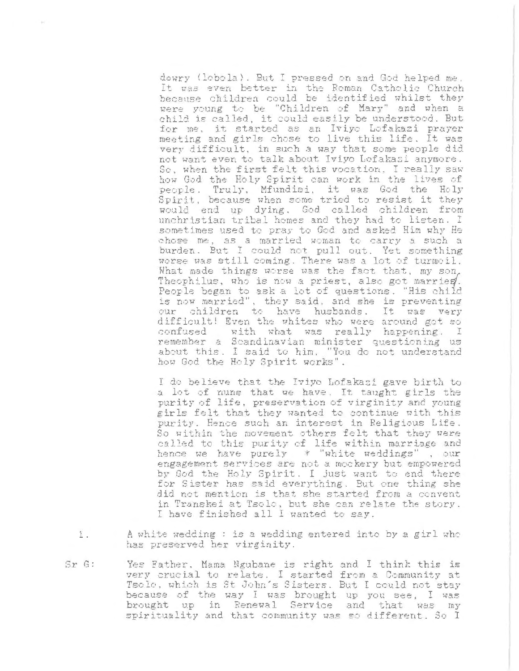dowry (lobola). But I pressed on and God helped me. It was even better in the Roman Catholic Church because children could be identified whilst they were young to be "Children of Mary" and when a child is called, it could easily be understood. But for me, it started as an Iviyo Lofakazi prayer meeting and girls chose to live this life. It was very difficult, in such a way that some people did not want even to talk about Iviyo Lofakazi anymore. So, when the first felt this vocation. I really saw how God the Holy Spirit can work in the lives of people. Truly, Mfundisi, it was God the Holy Spirit, because when some tried to resist it they would end up dying. God called children from unchristian tribal homes and they had to listen. I sometimes used to pray to God and asked Him why He chose me, as a married woman to carry a such a burden. But I could not pull out. Yet something worse was still coming. There was a lot of turmoil. What made things worse was the fact that, my son, Theophilus, who is now a priest, also got marries. People began to ask a lot of questions. "His child is now married", they said, and she is preventing our children to have husbands. It was very difficult! Even the whites who were around got so confused with what was really happening. I remember a Scandinavian minister questioning us about this. I said to him. "You do not understand how God the Holy Spirit works".

I do believe that the Iviyo Lofakazi gave birth to a lot of muns that we have. It taught girls the purity of life, preservation of virginity and young girls felt that they wanted to continue with this purity. Hence such an interest in Religious Life. So within the movement others felt that they were called to this purity of life within marriage and hence we have purely \* "white weddings", our engagement services are not a mockery but empowered by God the Holy Spirit. I just want to end there for Sister has said everything. But one thing she did not mention is that she started from a convent in Transkei at Tsolo, but she can relate the story. I have finished all I wanted to say.

- A white wedding : is a wedding entered into by a girl who 1. has preserved her virginity.
- $Sr$   $G$ : Yes Father, Mama Ngubane is right and I think this is very crucial to relate. I started from a Community at Tsole, which is St John's Sisters. But I could not stay because of the way I was brought up you see, I was brought up in Renewal Service and that was my spirituality and that community was so different. So I